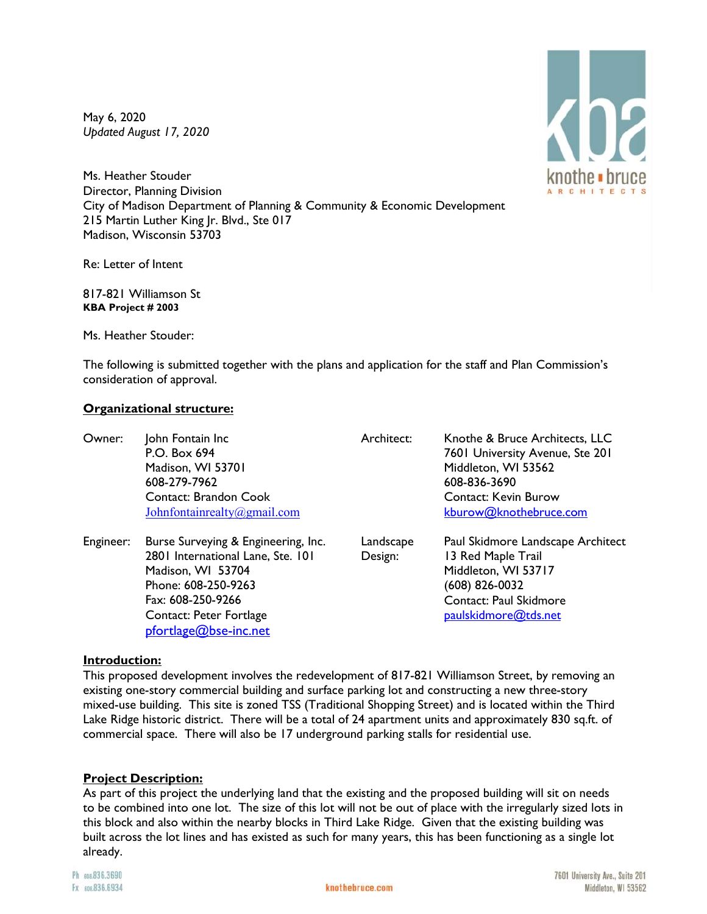May 6, 2020 *Updated August 17, 2020* 

knothe **i** bruce **ARCHITECT** 

Ms. Heather Stouder Director, Planning Division City of Madison Department of Planning & Community & Economic Development 215 Martin Luther King Jr. Blvd., Ste 017 Madison, Wisconsin 53703

Re: Letter of Intent

817-821 Williamson St **KBA Project # 2003**

Ms. Heather Stouder:

The following is submitted together with the plans and application for the staff and Plan Commission's consideration of approval.

## **Organizational structure:**

| Owner:    | John Fontain Inc<br>P.O. Box 694<br>Madison, WI 53701<br>608-279-7962<br><b>Contact: Brandon Cook</b><br>Johnfontainrealty@gmail.com                                                          | Architect:           | Knothe & Bruce Architects, LLC<br>7601 University Avenue, Ste 201<br>Middleton, WI 53562<br>608-836-3690<br><b>Contact: Kevin Burow</b><br>kburow@knothebruce.com |
|-----------|-----------------------------------------------------------------------------------------------------------------------------------------------------------------------------------------------|----------------------|-------------------------------------------------------------------------------------------------------------------------------------------------------------------|
| Engineer: | Burse Surveying & Engineering, Inc.<br>2801 International Lane, Ste. 101<br>Madison, WI 53704<br>Phone: 608-250-9263<br>Fax: 608-250-9266<br>Contact: Peter Fortlage<br>pfortlage@bse-inc.net | Landscape<br>Design: | Paul Skidmore Landscape Architect<br>13 Red Maple Trail<br>Middleton, WI 53717<br>(608) 826-0032<br>Contact: Paul Skidmore<br>paulskidmore@tds.net                |

### **Introduction:**

This proposed development involves the redevelopment of 817-821 Williamson Street, by removing an existing one-story commercial building and surface parking lot and constructing a new three-story mixed-use building. This site is zoned TSS (Traditional Shopping Street) and is located within the Third Lake Ridge historic district. There will be a total of 24 apartment units and approximately 830 sq.ft. of commercial space. There will also be 17 underground parking stalls for residential use.

### **Project Description:**

As part of this project the underlying land that the existing and the proposed building will sit on needs to be combined into one lot. The size of this lot will not be out of place with the irregularly sized lots in this block and also within the nearby blocks in Third Lake Ridge. Given that the existing building was built across the lot lines and has existed as such for many years, this has been functioning as a single lot already.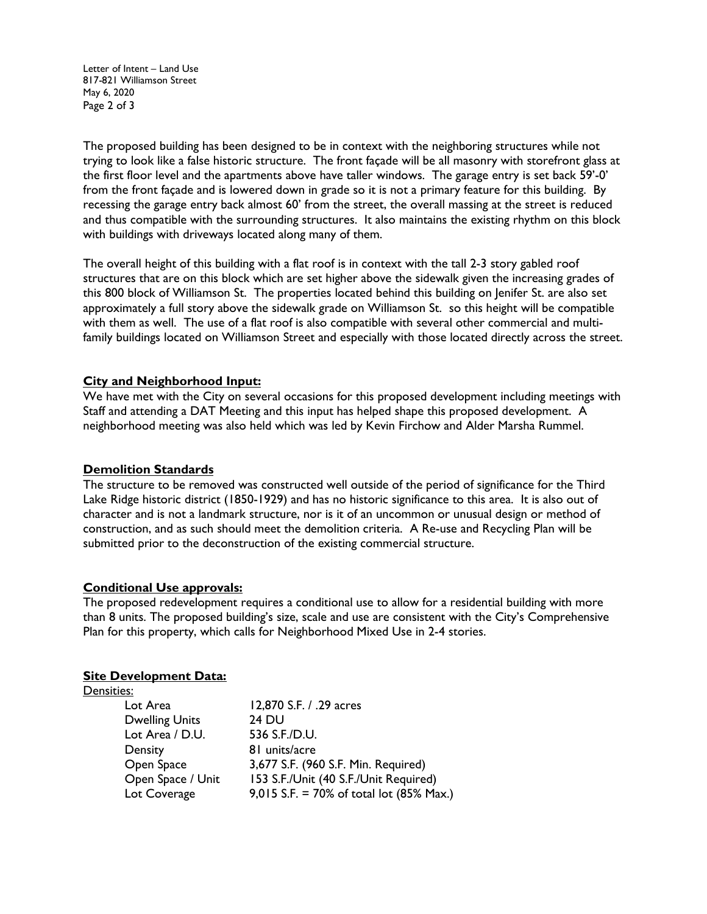Letter of Intent – Land Use 817-821 Williamson Street May 6, 2020 Page 2 of 3

The proposed building has been designed to be in context with the neighboring structures while not trying to look like a false historic structure. The front façade will be all masonry with storefront glass at the first floor level and the apartments above have taller windows. The garage entry is set back 59'-0' from the front façade and is lowered down in grade so it is not a primary feature for this building. By recessing the garage entry back almost 60' from the street, the overall massing at the street is reduced and thus compatible with the surrounding structures. It also maintains the existing rhythm on this block with buildings with driveways located along many of them.

The overall height of this building with a flat roof is in context with the tall 2-3 story gabled roof structures that are on this block which are set higher above the sidewalk given the increasing grades of this 800 block of Williamson St. The properties located behind this building on Jenifer St. are also set approximately a full story above the sidewalk grade on Williamson St. so this height will be compatible with them as well. The use of a flat roof is also compatible with several other commercial and multifamily buildings located on Williamson Street and especially with those located directly across the street.

### **City and Neighborhood Input:**

We have met with the City on several occasions for this proposed development including meetings with Staff and attending a DAT Meeting and this input has helped shape this proposed development. A neighborhood meeting was also held which was led by Kevin Firchow and Alder Marsha Rummel.

### **Demolition Standards**

The structure to be removed was constructed well outside of the period of significance for the Third Lake Ridge historic district (1850-1929) and has no historic significance to this area. It is also out of character and is not a landmark structure, nor is it of an uncommon or unusual design or method of construction, and as such should meet the demolition criteria. A Re-use and Recycling Plan will be submitted prior to the deconstruction of the existing commercial structure.

#### **Conditional Use approvals:**

The proposed redevelopment requires a conditional use to allow for a residential building with more than 8 units. The proposed building's size, scale and use are consistent with the City's Comprehensive Plan for this property, which calls for Neighborhood Mixed Use in 2-4 stories.

#### **Site Development Data:**

| Densities:            |                                          |
|-----------------------|------------------------------------------|
| Lot Area              | 12,870 S.F. / .29 acres                  |
| <b>Dwelling Units</b> | <b>24 DU</b>                             |
| Lot Area / D.U.       | 536 S.F./D.U.                            |
| Density               | 81 units/acre                            |
| Open Space            | 3,677 S.F. (960 S.F. Min. Required)      |
| Open Space / Unit     | 153 S.F./Unit (40 S.F./Unit Required)    |
| Lot Coverage          | 9,015 S.F. = 70% of total lot (85% Max.) |
|                       |                                          |